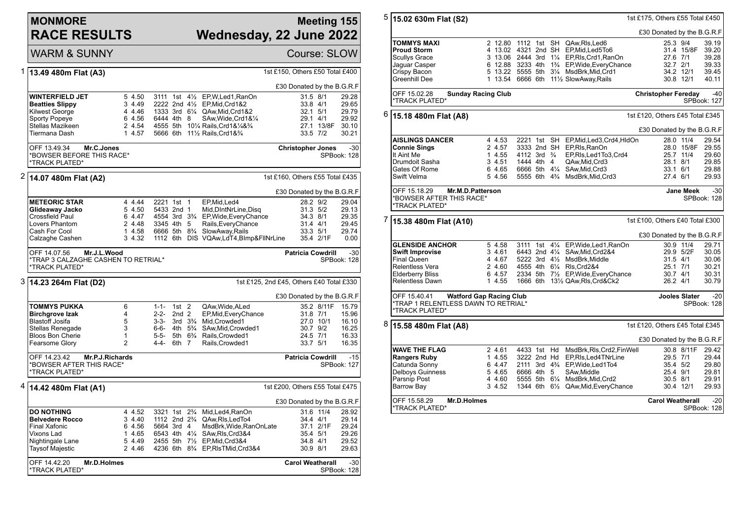## **MONMORE RACE RESULTS**

\*TRACK PLATED\*

## **Meeting 155 Wednesday, 22 June 2022**

SPBook: 128

|   | <b>WARM &amp; SUNNY</b>                                                                     |                  |                                                    |                                   |                |                                                               |                                          |            | Course: SLOW                                                                                                                                                                                                                  |
|---|---------------------------------------------------------------------------------------------|------------------|----------------------------------------------------|-----------------------------------|----------------|---------------------------------------------------------------|------------------------------------------|------------|-------------------------------------------------------------------------------------------------------------------------------------------------------------------------------------------------------------------------------|
| 1 | 13.49 480m Flat (A3)                                                                        |                  |                                                    |                                   |                |                                                               | 1st £150, Others £50 Total £400          |            |                                                                                                                                                                                                                               |
|   |                                                                                             |                  |                                                    |                                   |                |                                                               | £30 Donated by the B.G.R.F               |            |                                                                                                                                                                                                                               |
|   | <b>WINTERFIELD JET</b>                                                                      | 5 4.50           | 3111 1st                                           |                                   | $4\frac{1}{2}$ | EP, W, Led 1, RanOn                                           | 31.5 8/1                                 |            | 29.28                                                                                                                                                                                                                         |
|   | <b>Beatties Slippy</b>                                                                      | 3 4.49           | 2222 2nd $4\frac{1}{2}$                            |                                   |                | EP,Mid,Crd1&2                                                 | 33.8 4/1                                 |            | 29.65                                                                                                                                                                                                                         |
|   | Kilwest George                                                                              | 4 4.46           |                                                    |                                   |                | 1333 3rd 61/4 QAw, Mid, Crd 1&2                               | 32.1 5/1                                 |            | 29.79                                                                                                                                                                                                                         |
|   | <b>Sporty Popeye</b>                                                                        | 6 4.56           | 6444 4th 8                                         |                                   |                | SAw, Wide, Crd1&1/4                                           | 29.1 4/1                                 |            | 29.92                                                                                                                                                                                                                         |
|   | Stellas Mazikeen                                                                            | 2 4.54           |                                                    |                                   |                | 4555 5th 101/4 Rails, Crd1&1/4&3/4                            |                                          | 27.1 13/8F | 30.10                                                                                                                                                                                                                         |
|   | Tiermana Dash                                                                               | 1 4.57           |                                                    |                                   |                | 5666 6th 111/2 Rails, Crd1&3/4                                |                                          | 33.5 7/2   | 30.21                                                                                                                                                                                                                         |
|   | OFF 13.49.34<br>Mr.C.Jones<br>*BOWSER BEFORE THIS RACE*<br><b>*TRACK PLATED*</b>            |                  |                                                    |                                   |                | $-30$<br><b>Christopher Jones</b><br>SPBook: 128              |                                          |            |                                                                                                                                                                                                                               |
| 2 | 14.07 480m Flat (A2)                                                                        |                  |                                                    |                                   |                |                                                               | 1st £160, Others £55 Total £435          |            |                                                                                                                                                                                                                               |
|   |                                                                                             |                  |                                                    |                                   |                |                                                               |                                          |            |                                                                                                                                                                                                                               |
|   | <b>METEORIC STAR</b>                                                                        | 4 4.44           | 2221 1st 1                                         |                                   |                | EP, Mid, Led4                                                 | £30 Donated by the B.G.R.F               | 28.2 9/2   | 29.04                                                                                                                                                                                                                         |
|   | Glideaway Jacko                                                                             | 5 4.50           | 5433 2nd 1                                         |                                   |                | Mid, DIntNrLine, Disq                                         |                                          | 31.3 5/2   | 29.13                                                                                                                                                                                                                         |
|   | Crossfield Paul                                                                             | 6 4.47           |                                                    |                                   |                | 4554 3rd 3 <sup>3</sup> / <sub>4</sub> EP, Wide, Every Chance | 34.3 8/1                                 |            | 29.35                                                                                                                                                                                                                         |
|   | Lovers Phantom                                                                              | 2 4.48           | 3345 4th 5                                         |                                   |                | Rails, Every Chance                                           | 31.4 4/1                                 |            | 29.45                                                                                                                                                                                                                         |
|   | Cash For Cool                                                                               | 1 4.58           |                                                    |                                   |                | 6666 5th 8 <sup>3</sup> / <sub>4</sub> SlowAway, Rails        |                                          | 33.3 5/1   | 29.74                                                                                                                                                                                                                         |
|   | Calzaghe Cashen                                                                             | 3 4.32           |                                                    |                                   |                | 1112 6th DIS VQAw,LdT4,BImp&FIINrLine                         |                                          | 35.4 2/1F  | 0.00                                                                                                                                                                                                                          |
|   | OFF 14.07.56<br>Mr.J.L.Wood<br>*TRAP 3 CALZAGHE CASHEN TO RETRIAL*<br><b>*TRACK PLATED*</b> |                  |                                                    |                                   |                |                                                               | <b>Patricia Cowdrill</b>                 |            | $-30$<br>SPBook: 128                                                                                                                                                                                                          |
|   | 3  14.23 264m Flat (D2)                                                                     |                  |                                                    |                                   |                |                                                               | 1st £125, 2nd £45, Others £40 Total £330 |            |                                                                                                                                                                                                                               |
|   |                                                                                             |                  |                                                    |                                   |                |                                                               | £30 Donated by the B.G.R.F               |            |                                                                                                                                                                                                                               |
|   | TOMMYS PUKKA                                                                                | 6                | $1 - 1 -$                                          | $1st$ 2                           |                | QAw, Wide, ALed                                               |                                          |            |                                                                                                                                                                                                                               |
|   | <b>Birchgrove Izak</b>                                                                      | 4                | $2 - 2 -$                                          | 2nd <sub>2</sub>                  |                | EP, Mid, Every Chance                                         |                                          | 31.8 7/1   |                                                                                                                                                                                                                               |
|   | <b>Blastoff Josifa</b>                                                                      | 5                | $3 - 3 -$                                          | $3rd \t 3\frac{3}{4}$             |                | Mid, Crowded1                                                 |                                          | 27.0 10/1  | 16.10                                                                                                                                                                                                                         |
|   | Stellas Renegade                                                                            | 3                | 6-6-                                               | 4th $5\frac{3}{4}$                |                | SAw, Mid, Crowded1                                            |                                          | 30.7 9/2   | 16.25                                                                                                                                                                                                                         |
|   | <b>Bloos Bon Cherie</b>                                                                     | $\mathbf{1}$     | 5-5-                                               | 5th 6 <sup>3</sup> / <sub>4</sub> |                | Rails, Crowded1                                               |                                          | 24.5 7/1   | 16.33                                                                                                                                                                                                                         |
|   | Fearsome Glory                                                                              | $\overline{2}$   | 4-4-                                               | 6th 7                             |                | Rails, Crowded1                                               | 33.7 5/1                                 |            |                                                                                                                                                                                                                               |
|   | OFF 14.23.42<br>Mr.P.J.Richards<br><b>Patricia Cowdrill</b>                                 |                  |                                                    |                                   |                |                                                               |                                          |            | $-15$                                                                                                                                                                                                                         |
|   | *BOWSER AFTER THIS RACE*<br>*TRACK PLATED*                                                  |                  |                                                    |                                   |                |                                                               |                                          |            |                                                                                                                                                                                                                               |
| 4 |                                                                                             |                  |                                                    |                                   |                |                                                               |                                          |            |                                                                                                                                                                                                                               |
|   | 14.42 480m Flat (A1)                                                                        |                  |                                                    |                                   |                |                                                               |                                          |            |                                                                                                                                                                                                                               |
|   |                                                                                             |                  |                                                    |                                   |                |                                                               |                                          |            | 35.2 8/11F<br>15.79<br>15.96<br>16.35<br>SPBook: 127<br>1st £200, Others £55 Total £475<br>£30 Donated by the B.G.R.F<br>31.6 11/4<br>28.92<br>34.4 4/1<br>29.14<br>37.1 2/1F<br>29.24<br>35.4 5/1<br>29.26<br>29.52<br>29.63 |
|   | <b>DO NOTHING</b><br><b>Belvedere Rocco</b>                                                 | 4 4.52<br>3 4.40 | 3321 1st<br>1112 2nd 2 <sup>3</sup> / <sub>4</sub> |                                   | $2\frac{3}{4}$ | Mid, Led4, RanOn<br>QAw, RIs, Led To 4                        |                                          |            |                                                                                                                                                                                                                               |
|   | <b>Final Xafonic</b>                                                                        | 6 4.56           | 5664 3rd 4                                         |                                   |                | MsdBrk, Wide, RanOnLate                                       |                                          |            |                                                                                                                                                                                                                               |
|   | Vixons Lad                                                                                  | 1 4.65           | 6543 4th 41⁄4                                      |                                   |                | SAw, RIs, Crd3&4                                              |                                          |            |                                                                                                                                                                                                                               |
|   | Nightingale Lane                                                                            | 5 4.49           |                                                    |                                   |                | 2455 5th 71/2 EP, Mid, Crd3&4                                 | 34.8 4/1                                 |            |                                                                                                                                                                                                                               |
|   | Taysof Majestic                                                                             | 2 4.46           | 4236 6th                                           |                                   |                | 8 <sup>3</sup> / <sub>4</sub> EP, RIs TMid, Crd 3& 4          | 30.9 8/1                                 |            |                                                                                                                                                                                                                               |
|   |                                                                                             |                  |                                                    |                                   |                |                                                               |                                          |            |                                                                                                                                                                                                                               |
|   | OFF 14.42.20<br>Mr.D.Holmes                                                                 |                  |                                                    |                                   |                |                                                               | <b>Carol Weatherall</b>                  |            | $-30$                                                                                                                                                                                                                         |

| 5                                                             | 1st £175, Others £55 Total £450<br>15.02 630m Flat (S2)                                                  |                                 |                        |  |  |                                                                                     |                                 |                           |                |  |  |
|---------------------------------------------------------------|----------------------------------------------------------------------------------------------------------|---------------------------------|------------------------|--|--|-------------------------------------------------------------------------------------|---------------------------------|---------------------------|----------------|--|--|
|                                                               | £30 Donated by the B.G.R.F                                                                               |                                 |                        |  |  |                                                                                     |                                 |                           |                |  |  |
|                                                               | <b>TOMMYS MAXI</b>                                                                                       |                                 |                        |  |  | 2 12.80 1112 1st SH QAw, RIs, Led6                                                  | 25.3 9/4                        |                           | 39.19          |  |  |
|                                                               | <b>Proud Storm</b>                                                                                       |                                 |                        |  |  | 4 13.02 4321 2nd SH EP, Mid, Led 5To 6                                              |                                 | 31.4 15/8F                | 39.20          |  |  |
|                                                               |                                                                                                          |                                 |                        |  |  | 3 13.06 2444 3rd 11/4 EP, RIs, Crd1, RanOn                                          | 27.6 7/1                        |                           | 39.28          |  |  |
|                                                               | Scullys Grace                                                                                            |                                 |                        |  |  |                                                                                     |                                 |                           |                |  |  |
|                                                               | Jaguar Casper                                                                                            |                                 |                        |  |  | 6 12.88 3233 4th 13/4 EP, Wide, Every Chance                                        | 32.7 2/1                        |                           | 39.33          |  |  |
|                                                               | Crispy Bacon                                                                                             |                                 |                        |  |  | 5 13.22 5555 5th 31/4 MsdBrk, Mid, Crd1                                             |                                 | 34.2 12/1                 | 39.45          |  |  |
|                                                               | Greenhill Dee                                                                                            |                                 |                        |  |  | 1 13.54 6666 6th 111/2 SlowAway, Rails                                              |                                 | 30.8 12/1                 | 40.11          |  |  |
|                                                               | OFF 15.02.28<br><b>Sunday Racing Club</b><br><b>Christopher Fereday</b><br>*TRACK PLATED*<br>SPBook: 127 |                                 |                        |  |  |                                                                                     |                                 |                           | $-40$          |  |  |
|                                                               |                                                                                                          |                                 |                        |  |  |                                                                                     |                                 |                           |                |  |  |
| 6                                                             | 15.18 480m Flat (A8)                                                                                     | 1st £120, Others £45 Total £345 |                        |  |  |                                                                                     |                                 |                           |                |  |  |
|                                                               |                                                                                                          |                                 |                        |  |  |                                                                                     | £30 Donated by the B.G.R.F      |                           |                |  |  |
|                                                               | <b>AISLINGS DANCER</b>                                                                                   | 4 4.53                          |                        |  |  | 2221 1st SH EP, Mid, Led 3, Crd4, HIdOn                                             |                                 | 28.0 11/4                 | 29.54          |  |  |
|                                                               | Connie Sings                                                                                             | 2 4.57                          |                        |  |  | 3333 2nd SH EP, RIs, RanOn                                                          |                                 | 28.0 15/8F                | 29.55          |  |  |
|                                                               | It Aint Me                                                                                               | 1 4.55                          | 4112 3rd $\frac{3}{4}$ |  |  | EP,RIs,Led1To3,Crd4                                                                 |                                 | 25.7 11/4                 | 29.60          |  |  |
|                                                               |                                                                                                          |                                 |                        |  |  |                                                                                     |                                 |                           |                |  |  |
|                                                               | Drumdoit Sasha                                                                                           | 3 4.51                          | 1444 4th 4             |  |  | QAw, Mid, Crd3                                                                      | 28.1 8/1                        |                           | 29.85          |  |  |
|                                                               | Gates Of Rome                                                                                            | 6 4.65                          |                        |  |  | 6666 5th 41/4 SAw, Mid, Crd3                                                        | 33.1 6/1                        |                           | 29.88          |  |  |
|                                                               | Swift Velma                                                                                              | 5 4.56                          |                        |  |  | 5555 6th 4 <sup>3</sup> / <sub>4</sub> MsdBrk, Mid, Crd3                            | 27.4 6/1                        |                           | 29.93          |  |  |
| OFF 15.18.29<br>Mr.M.D.Patterson                              |                                                                                                          |                                 |                        |  |  |                                                                                     |                                 | $-30$<br><b>Jane Meek</b> |                |  |  |
| *BOWSER AFTER THIS RACE*<br><b>*TRACK PLATED*</b>             |                                                                                                          |                                 |                        |  |  |                                                                                     |                                 |                           | SPBook: 128    |  |  |
| 7<br>1st £100, Others £40 Total £300<br>15.38 480m Flat (A10) |                                                                                                          |                                 |                        |  |  |                                                                                     |                                 |                           |                |  |  |
|                                                               |                                                                                                          | £30 Donated by the B.G.R.F      |                        |  |  |                                                                                     |                                 |                           |                |  |  |
|                                                               | <b>GLENSIDE ANCHOR</b>                                                                                   | 5 4.58                          | 3111 1st               |  |  | 41/ <sub>4</sub> EP, Wide, Led 1, RanOn                                             |                                 | 30.9 11/4                 | 29.71          |  |  |
|                                                               | Swift Improvise                                                                                          | 3 4.61                          |                        |  |  | 6443 2nd 41/4 SAw, Mid, Crd 2&4                                                     |                                 | 29.9 5/2F                 | 30.05          |  |  |
|                                                               |                                                                                                          |                                 |                        |  |  |                                                                                     |                                 |                           |                |  |  |
|                                                               | <b>Final Queen</b>                                                                                       | 4 4.67                          |                        |  |  | 5222 3rd 41/2 MsdBrk, Middle                                                        | $31.5$ 4/1                      |                           | 30.06          |  |  |
|                                                               | Relentless Vera                                                                                          | 2 4.60                          |                        |  |  | 4555 4th 61/4 RIs, Crd2&4                                                           | 25.1 7/1                        |                           | 30.21          |  |  |
|                                                               | <b>Elderberry Bliss</b>                                                                                  | 6 4.57                          |                        |  |  | 2334 5th 71/2 EP, Wide, Every Chance                                                | 30.7 4/1                        |                           | 30.31          |  |  |
|                                                               | <b>Relentless Dawn</b>                                                                                   | 1 4.55                          |                        |  |  | 1666 6th 131/2 QAw, RIs, Crd&Ck2                                                    | 26.2 4/1                        |                           | 30.79          |  |  |
| OFF 15.40.41<br><b>Watford Gap Racing Club</b>                |                                                                                                          |                                 |                        |  |  |                                                                                     |                                 | <b>Jooles Slater</b>      | $-20$          |  |  |
|                                                               | *TRAP 1 RELENTLESS DAWN TO RETRIAL*<br>*TRACK PLATED*                                                    |                                 | SPBook: 128            |  |  |                                                                                     |                                 |                           |                |  |  |
| 8                                                             | 15.58 480m Flat (A8)                                                                                     |                                 |                        |  |  |                                                                                     | 1st £120, Others £45 Total £345 |                           |                |  |  |
|                                                               |                                                                                                          |                                 |                        |  |  |                                                                                     | £30 Donated by the B.G.R.F      |                           |                |  |  |
|                                                               |                                                                                                          |                                 |                        |  |  |                                                                                     |                                 |                           |                |  |  |
|                                                               | WAVE THE FLAG                                                                                            | 2 4.61                          | 4433 1st Hd            |  |  | MsdBrk, RIs, Crd2, FinWell                                                          |                                 | 30.8 8/11F                | 29.42          |  |  |
|                                                               | <b>Rangers Ruby</b>                                                                                      | 1 4.55                          | 3222 2nd Hd            |  |  | EP.RIs.Led4TNrLine                                                                  | 29.5 7/1                        |                           | 29.44          |  |  |
|                                                               | Catunda Sonny                                                                                            | 6 4.47                          |                        |  |  | 2111 3rd 43/4 EP, Wide, Led 1To 4                                                   | 35.4 5/2                        |                           | 29.80          |  |  |
|                                                               | Delboys Guinness                                                                                         | 5 4.65                          | 6666 4th 5             |  |  | SAw.Middle                                                                          | 25.4 9/1                        |                           | 29.81          |  |  |
|                                                               |                                                                                                          |                                 |                        |  |  |                                                                                     |                                 |                           |                |  |  |
|                                                               |                                                                                                          |                                 |                        |  |  |                                                                                     |                                 |                           |                |  |  |
|                                                               | Parsnip Post<br>Barrow Bay                                                                               | 4 4.60<br>3 4.52                |                        |  |  | 5555 5th 61/4 MsdBrk, Mid, Crd2<br>1344 6th 61/ <sub>2</sub> QAw, Mid, Every Chance |                                 | 30.5 8/1<br>30.4 12/1     | 29.91<br>29.93 |  |  |
|                                                               |                                                                                                          |                                 |                        |  |  |                                                                                     |                                 |                           |                |  |  |